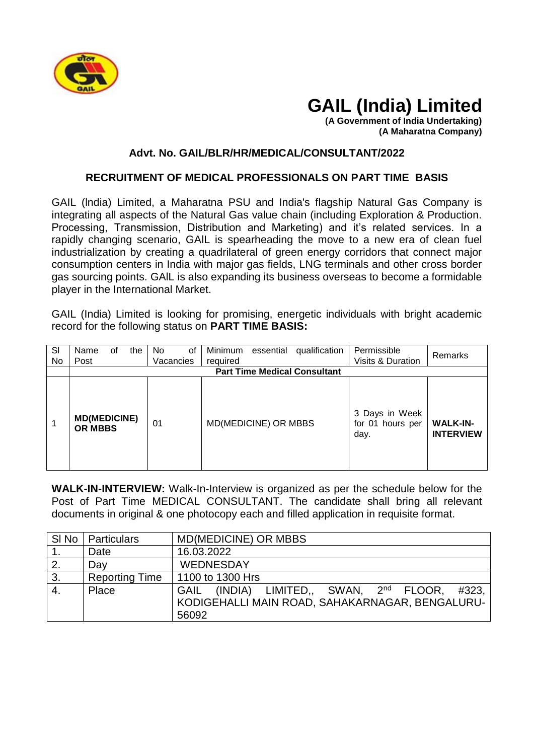

## **GAIL (India) Limited**

**(A Government of India Undertaking) (A Maharatna Company)**

## **Advt. No. GAIL/BLR/HR/MEDICAL/CONSULTANT/2022**

## **RECRUITMENT OF MEDICAL PROFESSIONALS ON PART TIME BASIS**

GAIL (lndia) Limited, a Maharatna PSU and India's flagship Natural Gas Company is integrating all aspects of the Natural Gas value chain (including Exploration & Production. Processing, Transmission, Distribution and Marketing) and it's related services. In a rapidly changing scenario, GAlL is spearheading the move to a new era of clean fuel industrialization by creating a quadrilateral of green energy corridors that connect major consumption centers in India with major gas fields, LNG terminals and other cross border gas sourcing points. GAlL is also expanding its business overseas to become a formidable player in the International Market.

GAIL (India) Limited is looking for promising, energetic individuals with bright academic record for the following status on **PART TIME BASIS:**

| SI<br>No | Name<br>οf<br>Post                    | the                                 | No.<br>οf<br>Vacancies | qualification<br>Minimum<br>essential<br>required | Permissible<br>Visits & Duration           | Remarks                             |  |  |  |
|----------|---------------------------------------|-------------------------------------|------------------------|---------------------------------------------------|--------------------------------------------|-------------------------------------|--|--|--|
|          |                                       | <b>Part Time Medical Consultant</b> |                        |                                                   |                                            |                                     |  |  |  |
|          | <b>MD(MEDICINE)</b><br><b>OR MBBS</b> |                                     | 01                     | MD(MEDICINE) OR MBBS                              | 3 Days in Week<br>for 01 hours per<br>day. | <b>WALK-IN-</b><br><b>INTERVIEW</b> |  |  |  |

**WALK-IN-INTERVIEW:** Walk-In-Interview is organized as per the schedule below for the Post of Part Time MEDICAL CONSULTANT. The candidate shall bring all relevant documents in original & one photocopy each and filled application in requisite format.

|                  | SI No   Particulars   | <b>MD(MEDICINE) OR MBBS</b>                               |  |  |  |  |
|------------------|-----------------------|-----------------------------------------------------------|--|--|--|--|
|                  | Date                  | 16.03.2022                                                |  |  |  |  |
| 2.               | Day                   | <b>WEDNESDAY</b>                                          |  |  |  |  |
| 3.               | <b>Reporting Time</b> | 1100 to 1300 Hrs                                          |  |  |  |  |
| $\overline{4}$ . | Place                 | GAIL (INDIA) LIMITED., SWAN, 2 <sup>nd</sup> FLOOR, #323, |  |  |  |  |
|                  |                       | KODIGEHALLI MAIN ROAD, SAHAKARNAGAR, BENGALURU-           |  |  |  |  |
|                  |                       | 56092                                                     |  |  |  |  |